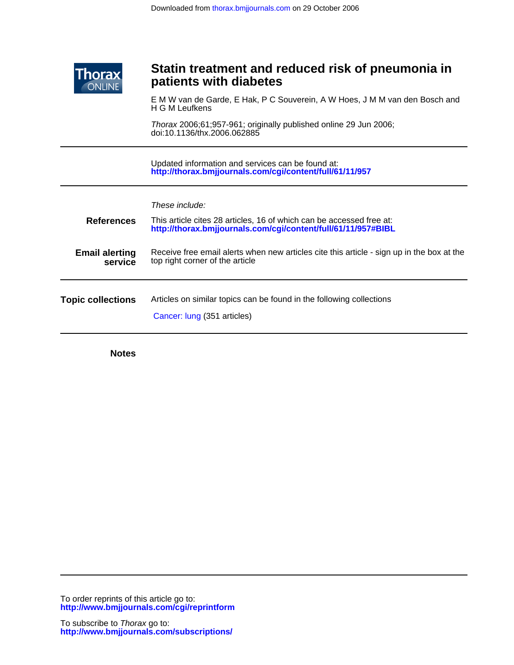

# **patients with diabetes Statin treatment and reduced risk of pneumonia in**

H G M Leufkens E M W van de Garde, E Hak, P C Souverein, A W Hoes, J M M van den Bosch and Ī

doi:10.1136/thx.2006.062885 Thorax 2006;61;957-961; originally published online 29 Jun 2006;

**<http://thorax.bmjjournals.com/cgi/content/full/61/11/957>** Updated information and services can be found at:

| <b>References</b>                | These include:<br>This article cites 28 articles, 16 of which can be accessed free at:<br>http://thorax.bmjjournals.com/cgi/content/full/61/11/957#BIBL |
|----------------------------------|---------------------------------------------------------------------------------------------------------------------------------------------------------|
| <b>Email alerting</b><br>service | Receive free email alerts when new articles cite this article - sign up in the box at the<br>top right corner of the article                            |
| <b>Topic collections</b>         | Articles on similar topics can be found in the following collections<br>Cancer: lung (351 articles)                                                     |

**Notes**

L

**<http://www.bmjjournals.com/cgi/reprintform>** To order reprints of this article go to: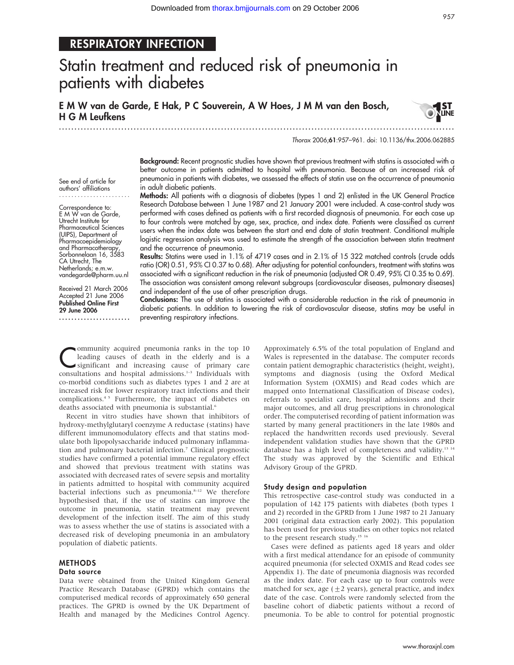## RESPIRATORY INFECTION

# Statin treatment and reduced risk of pneumonia in patients with diabetes

E M W van de Garde, E Hak, P C Souverein, A W Hoes, J M M van den Bosch, H G M Leufkens

............................................................... ............................................................... .



Thorax 2006;61:957–961. doi: 10.1136/thx.2006.062885

See end of article for authors' affiliations .......................

Correspondence to: E M W van de Garde, Utrecht Institute for Pharmaceutical Sciences (UIPS), Department of Pharmacoepidemiology and Pharmacotherapy, Sorbonnelaan 16, 3583 CA Utrecht, The Netherlands; e.m.w. vandegarde@pharm.uu.nl

Received 21 March 2006 Accepted 21 June 2006 Published Online First 29 June 2006

.......................

Background: Recent prognostic studies have shown that previous treatment with statins is associated with a better outcome in patients admitted to hospital with pneumonia. Because of an increased risk of pneumonia in patients with diabetes, we assessed the effects of statin use on the occurrence of pneumonia in adult diabetic patients.

Methods: All patients with a diagnosis of diabetes (types 1 and 2) enlisted in the UK General Practice Research Database between 1 June 1987 and 21 January 2001 were included. A case-control study was performed with cases defined as patients with a first recorded diagnosis of pneumonia. For each case up to four controls were matched by age, sex, practice, and index date. Patients were classified as current users when the index date was between the start and end date of statin treatment. Conditional multiple logistic regression analysis was used to estimate the strength of the association between statin treatment and the occurrence of pneumonia.

Results: Statins were used in 1.1% of 4719 cases and in 2.1% of 15 322 matched controls (crude odds ratio (OR) 0.51, 95% CI 0.37 to 0.68). After adjusting for potential confounders, treatment with statins was associated with a significant reduction in the risk of pneumonia (adjusted OR 0.49, 95% CI 0.35 to 0.69). The association was consistent among relevant subgroups (cardiovascular diseases, pulmonary diseases) and independent of the use of other prescription drugs.

Conclusions: The use of statins is associated with a considerable reduction in the risk of pneumonia in diabetic patients. In addition to lowering the risk of cardiovascular disease, statins may be useful in preventing respiratory infections.

**Community acquired pneumonia ranks in the top 10**<br>leading causes of death in the elderly and is a<br>significant and increasing cause of primary care<br>consultations and homital admissions  $\frac{1}{2}$  Individuals with leading causes of death in the elderly and is a consultations and hospital admissions.<sup>1-3</sup> Individuals with co-morbid conditions such as diabetes types 1 and 2 are at increased risk for lower respiratory tract infections and their complications.4 5 Furthermore, the impact of diabetes on deaths associated with pneumonia is substantial.<sup>6</sup>

Recent in vitro studies have shown that inhibitors of hydroxy-methylglutaryl coenzyme A reductase (statins) have different immunomodulatory effects and that statins modulate both lipopolysaccharide induced pulmonary inflammation and pulmonary bacterial infection.<sup>7</sup> Clinical prognostic studies have confirmed a potential immune regulatory effect and showed that previous treatment with statins was associated with decreased rates of severe sepsis and mortality in patients admitted to hospital with community acquired bacterial infections such as pneumonia. $8-12$  We therefore hypothesised that, if the use of statins can improve the outcome in pneumonia, statin treatment may prevent development of the infection itself. The aim of this study was to assess whether the use of statins is associated with a decreased risk of developing pneumonia in an ambulatory population of diabetic patients.

## **METHODS**

### Data source

Data were obtained from the United Kingdom General Practice Research Database (GPRD) which contains the computerised medical records of approximately 650 general practices. The GPRD is owned by the UK Department of Health and managed by the Medicines Control Agency.

Approximately 6.5% of the total population of England and Wales is represented in the database. The computer records contain patient demographic characteristics (height, weight), symptoms and diagnosis (using the Oxford Medical Information System (OXMIS) and Read codes which are mapped onto International Classification of Disease codes), referrals to specialist care, hospital admissions and their major outcomes, and all drug prescriptions in chronological order. The computerised recording of patient information was started by many general practitioners in the late 1980s and replaced the handwritten records used previously. Several independent validation studies have shown that the GPRD database has a high level of completeness and validity.13 14 The study was approved by the Scientific and Ethical Advisory Group of the GPRD.

### Study design and population

This retrospective case-control study was conducted in a population of 142 175 patients with diabetes (both types 1 and 2) recorded in the GPRD from 1 June 1987 to 21 January 2001 (original data extraction early 2002). This population has been used for previous studies on other topics not related to the present research study.<sup>15 16</sup>

Cases were defined as patients aged 18 years and older with a first medical attendance for an episode of community acquired pneumonia (for selected OXMIS and Read codes see Appendix 1). The date of pneumonia diagnosis was recorded as the index date. For each case up to four controls were matched for sex, age  $(\pm 2 \text{ years})$ , general practice, and index date of the case. Controls were randomly selected from the baseline cohort of diabetic patients without a record of pneumonia. To be able to control for potential prognostic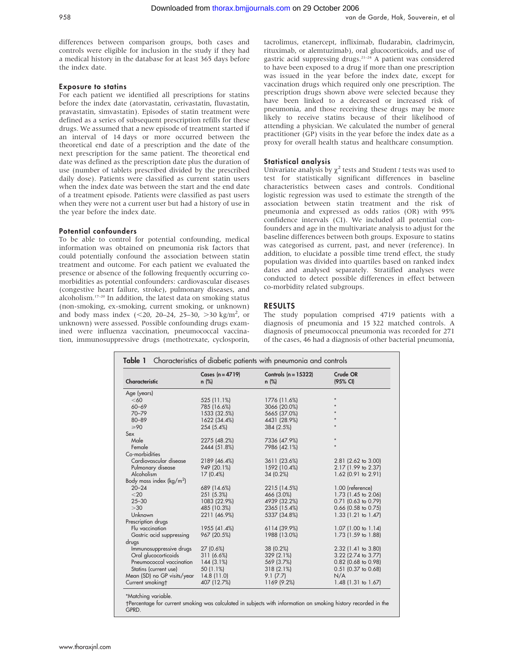differences between comparison groups, both cases and controls were eligible for inclusion in the study if they had a medical history in the database for at least 365 days before the index date.

## Exposure to statins

For each patient we identified all prescriptions for statins before the index date (atorvastatin, cerivastatin, fluvastatin, pravastatin, simvastatin). Episodes of statin treatment were defined as a series of subsequent prescription refills for these drugs. We assumed that a new episode of treatment started if an interval of 14 days or more occurred between the theoretical end date of a prescription and the date of the next prescription for the same patient. The theoretical end date was defined as the prescription date plus the duration of use (number of tablets prescribed divided by the prescribed daily dose). Patients were classified as current statin users when the index date was between the start and the end date of a treatment episode. Patients were classified as past users when they were not a current user but had a history of use in the year before the index date.

## Potential confounders

To be able to control for potential confounding, medical information was obtained on pneumonia risk factors that could potentially confound the association between statin treatment and outcome. For each patient we evaluated the presence or absence of the following frequently occurring comorbidities as potential confounders: cardiovascular diseases (congestive heart failure, stroke), pulmonary diseases, and alcoholism.17–20 In addition, the latest data on smoking status (non-smoking, ex-smoking, current smoking, or unknown) and body mass index  $(< 20, 20-24, 25-30, >30$  kg/m<sup>2</sup>, or unknown) were assessed. Possible confounding drugs examined were influenza vaccination, pneumococcal vaccination, immunosuppressive drugs (methotrexate, cyclosporin, tacrolimus, etanercept, infliximab, fludarabin, cladrimycin, rituximab, or alemtuzimab), oral glucocorticoids, and use of gastric acid suppressing drugs.21–24 A patient was considered to have been exposed to a drug if more than one prescription was issued in the year before the index date, except for vaccination drugs which required only one prescription. The prescription drugs shown above were selected because they have been linked to a decreased or increased risk of pneumonia, and those receiving these drugs may be more likely to receive statins because of their likelihood of attending a physician. We calculated the number of general practitioner (GP) visits in the year before the index date as a proxy for overall health status and healthcare consumption.

## Statistical analysis

Univariate analysis by  $\chi^2$  tests and Student t tests was used to test for statistically significant differences in baseline characteristics between cases and controls. Conditional logistic regression was used to estimate the strength of the association between statin treatment and the risk of pneumonia and expressed as odds ratios (OR) with 95% confidence intervals (CI). We included all potential confounders and age in the multivariate analysis to adjust for the baseline differences between both groups. Exposure to statins was categorised as current, past, and never (reference). In addition, to elucidate a possible time trend effect, the study population was divided into quartiles based on ranked index dates and analysed separately. Stratified analyses were conducted to detect possible differences in effect between co-morbidity related subgroups.

## RESULTS

The study population comprised 4719 patients with a diagnosis of pneumonia and 15 322 matched controls. A diagnosis of pneumococcal pneumonia was recorded for 271 of the cases, 46 had a diagnosis of other bacterial pneumonia,

| Characteristic                      | Cases $(n = 4719)$<br>$n$ (%) | Controls $(n = 15322)$<br>$n$ (%) | Crude OR<br>(95% CI)  |  |
|-------------------------------------|-------------------------------|-----------------------------------|-----------------------|--|
| Age (years)                         |                               |                                   |                       |  |
| <60                                 | 525 (11.1%)                   | 1776 (11.6%)                      | $\star$               |  |
| $60 - 69$                           | 785 (16.6%)                   | 3066 (20.0%)                      |                       |  |
| $70 - 79$                           | 1533 (32.5%)                  | 5665 (37.0%)                      |                       |  |
| $80 - 89$                           | 1622 (34.4%)                  | 4431 (28.9%)                      |                       |  |
| $\geqslant 90$                      | 254 (5.4%)                    | 384 (2.5%)                        |                       |  |
| Sex                                 |                               |                                   |                       |  |
| Male                                | 2275 (48.2%)                  | 7336 (47.9%)                      | $\star$               |  |
| Female                              | 2444 (51.8%)                  | 7986 (42.1%)                      | $\star$               |  |
| Co-morbidities                      |                               |                                   |                       |  |
| Cardiovascular disease              | 2189 (46.4%)                  | 3611 (23.6%)                      | 2.81 (2.62 to 3.00)   |  |
| Pulmonary disease                   | 949 (20.1%)                   | 1592 (10.4%)                      | 2.17 (1.99 to 2.37)   |  |
| Alcoholism                          | $17(0.4\%)$                   | 34(0.2%)                          | 1.62 (0.91 to 2.91)   |  |
| Body mass index ( $\text{kg/m}^2$ ) |                               |                                   |                       |  |
| $20 - 24$                           | 689 (14.6%)                   | 2215 (14.5%)                      | 1.00 (reference)      |  |
| $<$ 20                              | 251 (5.3%)                    | 466 (3.0%)                        | 1.73 (1.45 to 2.06)   |  |
| $25 - 30$                           | 1083 (22.9%)                  | 4939 (32.2%)                      | $0.71$ (0.63 to 0.79) |  |
| >30                                 | 485 (10.3%)                   | 2365 (15.4%)                      | $0.66$ (0.58 to 0.75) |  |
| Unknown                             | 2211 (46.9%)                  | 5337 (34.8%)                      | 1.33 (1.21 to 1.47)   |  |
| Prescription drugs                  |                               |                                   |                       |  |
| Flu vaccination                     | 1955 (41.4%)                  | 6114 (39.9%)                      | 1.07 (1.00 to 1.14)   |  |
| Gastric acid suppressing            | 967 (20.5%)                   | 1988 (13.0%)                      | 1.73 (1.59 to 1.88)   |  |
| drugs                               |                               |                                   |                       |  |
| Immunosuppressive drugs             | 27 (0.6%)                     | 38 (0.2%)                         | 2.32 (1.41 to 3.80)   |  |
| Oral glucocorticoids                | 311 (6.6%)                    | 329(2.1%)                         | 3.22 (2.74 to 3.77)   |  |
| Pneumococcal vaccination            | 144(3.1%)                     | 569 (3.7%)                        | 0.82 (0.68 to 0.98)   |  |
| Statins (current use)               | 50 (1.1%)                     | 318(2.1%)                         | $0.51$ (0.37 to 0.68) |  |
| Mean (SD) no GP visits/year         | 14.8(11.0)                    | 9.1(7.7)                          | N/A                   |  |
| Current smokingt                    | 407 (12.7%)                   | 1169 (9.2%)                       | 1.48 (1.31 to 1.67)   |  |

-Percentage for current smoking was calculated in subjects with information on smoking history recorded in the GPRD.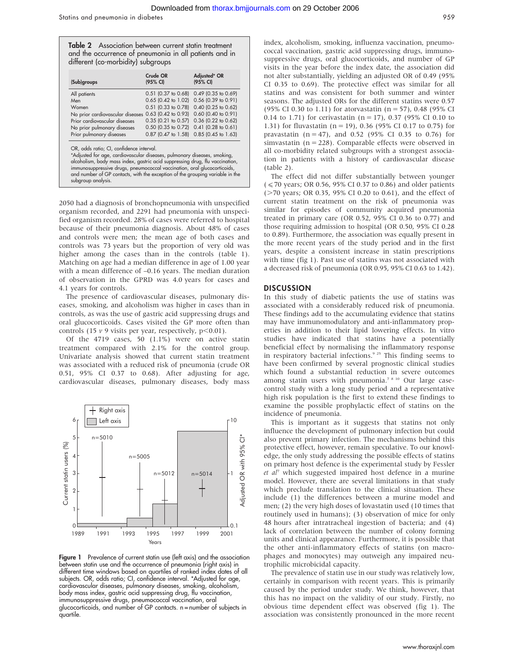Table 2 Association between current statin treatment and the occurrence of pneumonia in all patients and in different (co-morbidity) subgroups

| (Sub)groups                      | Crude OR<br>(95% CI)      | Adjusted* OR<br>(95% CI) |
|----------------------------------|---------------------------|--------------------------|
| All patients                     | 0.51 (0.37 to 0.68)       | $0.49$ (0.35 to 0.69)    |
| Men                              | 0.65 (0.42 to 1.02)       | 0.56 (0.39 to 0.91)      |
| Women                            | $0.51$ (0.33 to 0.78)     | 0.40 (0.25 to 0.62)      |
| No prior cardiovascular diseases | 0.63 (0.42 to 0.93)       | 0.60 (0.40 to 0.91)      |
| Prior cardiovascular diseases    | $0.35$ $(0.21)$ to $0.57$ | 0.36 (0.22 to 0.62)      |
| No prior pulmonary diseases      | 0.50 (0.35 to 0.72)       | $0.41$ (0.28 to 0.61)    |
| Prior pulmonary diseases         | $0.87$ (0.47 to 1.58)     | 0.85 (0.45 to 1.63)      |

2050 had a diagnosis of bronchopneumonia with unspecified organism recorded, and 2291 had pneumonia with unspecified organism recorded. 28% of cases were referred to hospital because of their pneumonia diagnosis. About 48% of cases and controls were men; the mean age of both cases and controls was 73 years but the proportion of very old was higher among the cases than in the controls (table 1). Matching on age had a median difference in age of 1.00 year with a mean difference of –0.16 years. The median duration of observation in the GPRD was 4.0 years for cases and 4.1 years for controls.

The presence of cardiovascular diseases, pulmonary diseases, smoking, and alcoholism was higher in cases than in controls, as was the use of gastric acid suppressing drugs and oral glucocorticoids. Cases visited the GP more often than controls (15  $\nu$  9 visits per year, respectively, p<0.01).

Of the 4719 cases, 50 (1.1%) were on active statin treatment compared with 2.1% for the control group. Univariate analysis showed that current statin treatment was associated with a reduced risk of pneumonia (crude OR 0.51, 95% CI 0.37 to 0.68). After adjusting for age, cardiovascular diseases, pulmonary diseases, body mass



Figure 1 Prevalence of current statin use (left axis) and the association between statin use and the occurrence of pneumonia (right axis) in different time windows based on quartiles of ranked index dates of all subjects. OR, odds ratio; CI, confidence interval. \*Adjusted for age, cardiovascular diseases, pulmonary diseases, smoking, alcoholism, body mass index, gastric acid suppressing drug, flu vaccination, immunosuppressive drugs, pneumococcal vaccination, oral glucocorticoids, and number of GP contacts. n = number of subjects in quartile.

index, alcoholism, smoking, influenza vaccination, pneumococcal vaccination, gastric acid suppressing drugs, immunosuppressive drugs, oral glucocorticoids, and number of GP visits in the year before the index date, the association did not alter substantially, yielding an adjusted OR of 0.49 (95% CI 0.35 to 0.69). The protective effect was similar for all statins and was consistent for both summer and winter seasons. The adjusted ORs for the different statins were 0.57 (95% CI 0.30 to 1.11) for atorvastatin (n = 57), 0.48 (95% CI 0.14 to 1.71) for cerivastatin ( $n = 17$ ), 0.37 (95% CI 0.10 to 1.31) for fluvastatin ( $n = 19$ ), 0.36 (95% CI 0.17 to 0.75) for pravastatin ( $n = 47$ ), and 0.52 (95% CI 0.35 to 0.76) for simvastatin ( $n = 228$ ). Comparable effects were observed in all co-morbidity related subgroups with a strongest association in patients with a history of cardiovascular disease (table 2).

The effect did not differ substantially between younger  $(*50* years; OR 0.56, 95% CI 0.37 to 0.86) and older patients$  $($  >70 years; OR 0.35, 95% CI 0.20 to 0.61), and the effect of current statin treatment on the risk of pneumonia was similar for episodes of community acquired pneumonia treated in primary care (OR 0.52, 95% CI 0.36 to 0.77) and those requiring admission to hospital (OR 0.50, 95% CI 0.28 to 0.89). Furthermore, the association was equally present in the more recent years of the study period and in the first years, despite a consistent increase in statin prescriptions with time (fig 1). Past use of statins was not associated with a decreased risk of pneumonia (OR 0.95, 95% CI 0.63 to 1.42).

#### **DISCUSSION**

In this study of diabetic patients the use of statins was associated with a considerably reduced risk of pneumonia. These findings add to the accumulating evidence that statins may have immunomodulatory and anti-inflammatory properties in addition to their lipid lowering effects. In vitro studies have indicated that statins have a potentially beneficial effect by normalising the inflammatory response in respiratory bacterial infections.<sup>9 25</sup> This finding seems to have been confirmed by several prognostic clinical studies which found a substantial reduction in severe outcomes among statin users with pneumonia.<sup>7 8 10</sup> Our large casecontrol study with a long study period and a representative high risk population is the first to extend these findings to examine the possible prophylactic effect of statins on the incidence of pneumonia.

This is important as it suggests that statins not only influence the development of pulmonary infection but could also prevent primary infection. The mechanisms behind this protective effect, however, remain speculative. To our knowledge, the only study addressing the possible effects of statins on primary host defence is the experimental study by Fessler  $et \, al^{\gamma}$  which suggested impaired host defence in a murine model. However, there are several limitations in that study which preclude translation to the clinical situation. These include (1) the differences between a murine model and men; (2) the very high doses of lovastatin used (10 times that routinely used in humans); (3) observation of mice for only 48 hours after intratracheal ingestion of bacteria; and (4) lack of correlation between the number of colony forming units and clinical appearance. Furthermore, it is possible that the other anti-inflammatory effects of statins (on macrophages and monocytes) may outweigh any impaired neutrophilic microbicidal capacity.

The prevalence of statin use in our study was relatively low, certainly in comparison with recent years. This is primarily caused by the period under study. We think, however, that this has no impact on the validity of our study. Firstly, no obvious time dependent effect was observed (fig 1). The association was consistently pronounced in the more recent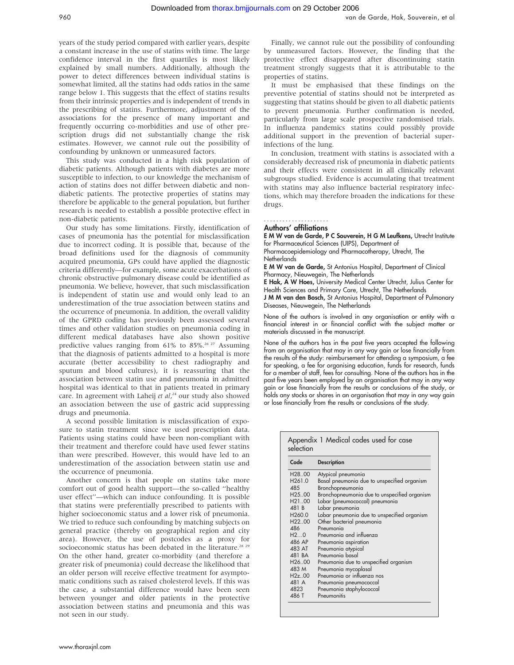years of the study period compared with earlier years, despite a constant increase in the use of statins with time. The large confidence interval in the first quartiles is most likely explained by small numbers. Additionally, although the power to detect differences between individual statins is somewhat limited, all the statins had odds ratios in the same range below 1. This suggests that the effect of statins results from their intrinsic properties and is independent of trends in the prescribing of statins. Furthermore, adjustment of the associations for the presence of many important and frequently occurring co-morbidities and use of other prescription drugs did not substantially change the risk estimates. However, we cannot rule out the possibility of confounding by unknown or unmeasured factors.

This study was conducted in a high risk population of diabetic patients. Although patients with diabetes are more susceptible to infection, to our knowledge the mechanism of action of statins does not differ between diabetic and nondiabetic patients. The protective properties of statins may therefore be applicable to the general population, but further research is needed to establish a possible protective effect in non-diabetic patients.

Our study has some limitations. Firstly, identification of cases of pneumonia has the potential for misclassification due to incorrect coding. It is possible that, because of the broad definitions used for the diagnosis of community acquired pneumonia, GPs could have applied the diagnostic criteria differently—for example, some acute exacerbations of chronic obstructive pulmonary disease could be identified as pneumonia. We believe, however, that such misclassification is independent of statin use and would only lead to an underestimation of the true association between statins and the occurrence of pneumonia. In addition, the overall validity of the GPRD coding has previously been assessed several times and other validation studies on pneumonia coding in different medical databases have also shown positive predictive values ranging from  $61\%$  to  $85\%$ .<sup>26, 27</sup> Assuming that the diagnosis of patients admitted to a hospital is more accurate (better accessibility to chest radiography and sputum and blood cultures), it is reassuring that the association between statin use and pneumonia in admitted hospital was identical to that in patients treated in primary care. In agreement with Laheij et al,<sup>24</sup> our study also showed an association between the use of gastric acid suppressing drugs and pneumonia.

A second possible limitation is misclassification of exposure to statin treatment since we used prescription data. Patients using statins could have been non-compliant with their treatment and therefore could have used fewer statins than were prescribed. However, this would have led to an underestimation of the association between statin use and the occurrence of pneumonia.

Another concern is that people on statins take more comfort out of good health support—the so-called ''healthy user effect''—which can induce confounding. It is possible that statins were preferentially prescribed to patients with higher socioeconomic status and a lower risk of pneumonia. We tried to reduce such confounding by matching subjects on general practice (thereby on geographical region and city area). However, the use of postcodes as a proxy for socioeconomic status has been debated in the literature.<sup>28 29</sup> On the other hand, greater co-morbidity (and therefore a greater risk of pneumonia) could decrease the likelihood that an older person will receive effective treatment for asymptomatic conditions such as raised cholesterol levels. If this was the case, a substantial difference would have been seen between younger and older patients in the protective association between statins and pneumonia and this was not seen in our study.

Finally, we cannot rule out the possibility of confounding by unmeasured factors. However, the finding that the protective effect disappeared after discontinuing statin treatment strongly suggests that it is attributable to the properties of statins.

It must be emphasised that these findings on the preventive potential of statins should not be interpreted as suggesting that statins should be given to all diabetic patients to prevent pneumonia. Further confirmation is needed, particularly from large scale prospective randomised trials. In influenza pandemics statins could possibly provide additional support in the prevention of bacterial superinfections of the lung.

In conclusion, treatment with statins is associated with a considerably decreased risk of pneumonia in diabetic patients and their effects were consistent in all clinically relevant subgroups studied. Evidence is accumulating that treatment with statins may also influence bacterial respiratory infections, which may therefore broaden the indications for these drugs.

## Authors' affiliations .....................

E M W van de Garde, P C Souverein, H G M Leufkens, Utrecht Institute for Pharmaceutical Sciences (UIPS), Department of

Pharmacoepidemiology and Pharmacotherapy, Utrecht, The **Netherlands** 

E M W van de Garde, St Antonius Hospital, Department of Clinical Pharmacy, Nieuwegein, The Netherlands

E Hak, A W Hoes, University Medical Center Utrecht, Julius Center for Health Sciences and Primary Care, Utrecht, The Netherlands

J M M van den Bosch, St Antonius Hospital, Department of Pulmonary Diseases, Nieuwegein, The Netherlands

None of the authors is involved in any organisation or entity with a financial interest in or financial conflict with the subject matter or materials discussed in the manuscript.

None of the authors has in the past five years accepted the following from an organisation that may in any way gain or lose financially from the results of the study: reimbursement for attending a symposium, a fee for speaking, a fee for organising education, funds for research, funds for a member of staff, fees for consulting. None of the authors has in the past five years been employed by an organisation that may in any way gain or lose financially from the results or conclusions of the study, or holds any stocks or shares in an organisation that may in any way gain or lose financially from the results or conclusions of the study.

| Code                | <b>Description</b>                           |
|---------------------|----------------------------------------------|
| H28.00              | Atypical pneumonia                           |
| H <sub>261.0</sub>  | Basal pneumonia due to unspecified organism  |
| 48.5                | Bronchopneumonia                             |
| H <sub>25</sub> .00 | Bronchopneumonia due to unspecified organism |
| H21.00              | Lobar (pneumococcal) pneumonia               |
| 481 B               | Lobar pneumonia                              |
| H <sub>260.0</sub>  | Lobar pneumonia due to unspecified organism  |
| H22.00              | Other bacterial pneumonia                    |
| 486                 | Pneumonia                                    |
| H20                 | Pneumonia and influenza                      |
| 486 AP              | Pneumonia aspiration                         |
| 483 AT              | Pneumonia atypical                           |
| 481 BA              | Pneumonia basal                              |
| H26.00              | Pneumonia due to unspecified organism        |
| 483 M               | Pneumonia mycoplasal                         |
| H2z.00              | Pneumonia or influenza nos                   |
| 481 A               | Pneumonia pneumococcal                       |
| 4823                | Pneumonia staphylococcal                     |
| 486 T               | Pneumonitis                                  |